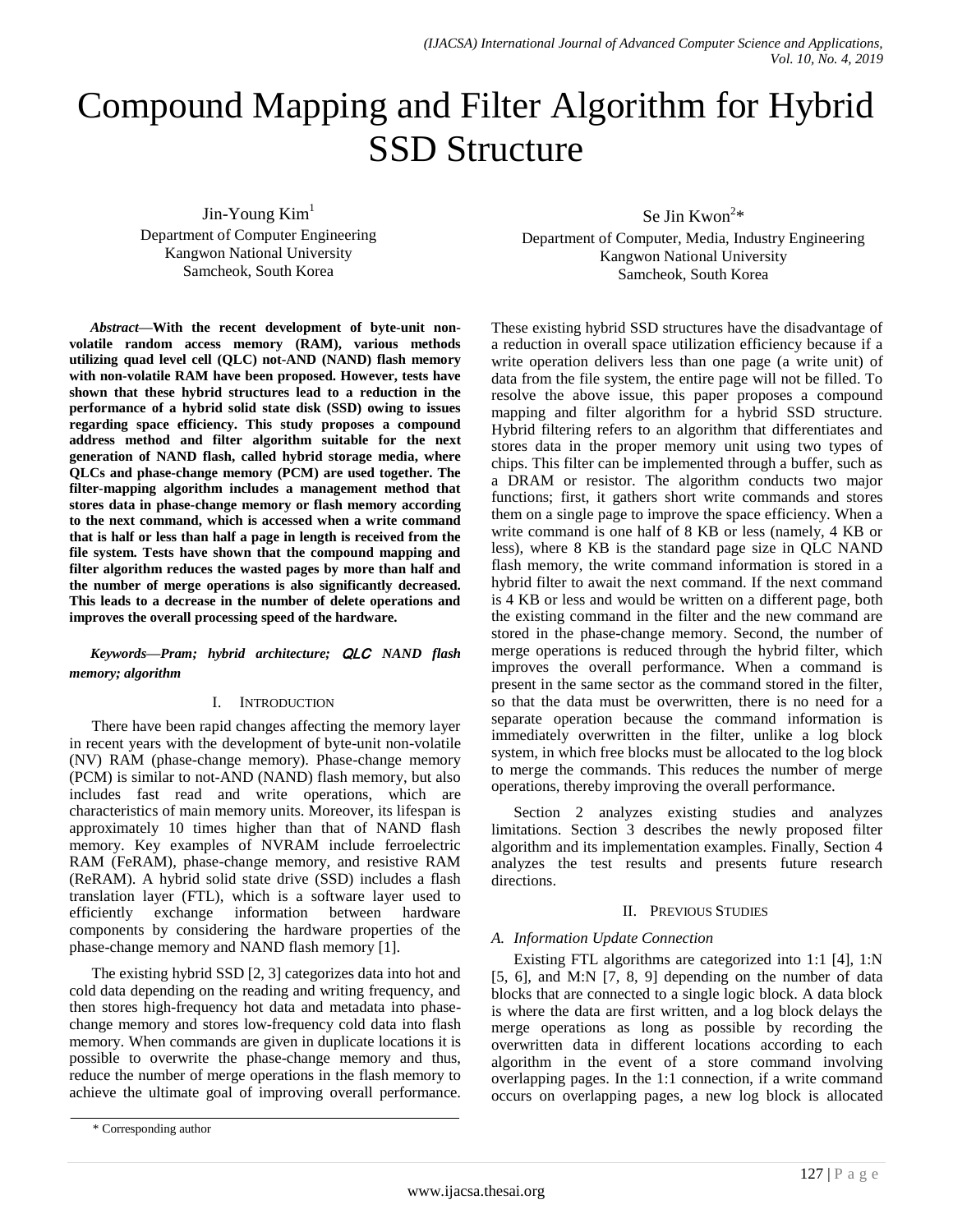# Compound Mapping and Filter Algorithm for Hybrid SSD Structure

 $J$ in-Young Kim<sup>1</sup> Department of Computer Engineering Kangwon National University Samcheok, South Korea

*Abstract***—With the recent development of byte-unit nonvolatile random access memory (RAM), various methods utilizing quad level cell (QLC) not-AND (NAND) flash memory with non-volatile RAM have been proposed. However, tests have shown that these hybrid structures lead to a reduction in the performance of a hybrid solid state disk (SSD) owing to issues regarding space efficiency. This study proposes a compound address method and filter algorithm suitable for the next generation of NAND flash, called hybrid storage media, where QLCs and phase-change memory (PCM) are used together. The filter-mapping algorithm includes a management method that stores data in phase-change memory or flash memory according to the next command, which is accessed when a write command that is half or less than half a page in length is received from the file system. Tests have shown that the compound mapping and filter algorithm reduces the wasted pages by more than half and the number of merge operations is also significantly decreased. This leads to a decrease in the number of delete operations and improves the overall processing speed of the hardware.**

# *Keywords—Pram; hybrid architecture;* QLC *NAND flash memory; algorithm*

# I. INTRODUCTION

There have been rapid changes affecting the memory layer in recent years with the development of byte-unit non-volatile (NV) RAM (phase-change memory). Phase-change memory (PCM) is similar to not-AND (NAND) flash memory, but also includes fast read and write operations, which are characteristics of main memory units. Moreover, its lifespan is approximately 10 times higher than that of NAND flash memory. Key examples of NVRAM include ferroelectric RAM (FeRAM), phase-change memory, and resistive RAM (ReRAM). A hybrid solid state drive (SSD) includes a flash translation layer (FTL), which is a software layer used to efficiently exchange information between hardware components by considering the hardware properties of the phase-change memory and NAND flash memory [1].

The existing hybrid SSD [2, 3] categorizes data into hot and cold data depending on the reading and writing frequency, and then stores high-frequency hot data and metadata into phasechange memory and stores low-frequency cold data into flash memory. When commands are given in duplicate locations it is possible to overwrite the phase-change memory and thus, reduce the number of merge operations in the flash memory to achieve the ultimate goal of improving overall performance.

\* Corresponding author

Se Jin Kwon<sup>2\*</sup>

Department of Computer, Media, Industry Engineering Kangwon National University Samcheok, South Korea

These existing hybrid SSD structures have the disadvantage of a reduction in overall space utilization efficiency because if a write operation delivers less than one page (a write unit) of data from the file system, the entire page will not be filled. To resolve the above issue, this paper proposes a compound mapping and filter algorithm for a hybrid SSD structure. Hybrid filtering refers to an algorithm that differentiates and stores data in the proper memory unit using two types of chips. This filter can be implemented through a buffer, such as a DRAM or resistor. The algorithm conducts two major functions; first, it gathers short write commands and stores them on a single page to improve the space efficiency. When a write command is one half of 8 KB or less (namely, 4 KB or less), where 8 KB is the standard page size in QLC NAND flash memory, the write command information is stored in a hybrid filter to await the next command. If the next command is 4 KB or less and would be written on a different page, both the existing command in the filter and the new command are stored in the phase-change memory. Second, the number of merge operations is reduced through the hybrid filter, which improves the overall performance. When a command is present in the same sector as the command stored in the filter, so that the data must be overwritten, there is no need for a separate operation because the command information is immediately overwritten in the filter, unlike a log block system, in which free blocks must be allocated to the log block to merge the commands. This reduces the number of merge operations, thereby improving the overall performance.

Section 2 analyzes existing studies and analyzes limitations. Section 3 describes the newly proposed filter algorithm and its implementation examples. Finally, Section 4 analyzes the test results and presents future research directions.

## II. PREVIOUS STUDIES

## *A. Information Update Connection*

Existing FTL algorithms are categorized into 1:1 [4], 1:N [5, 6], and M:N [7, 8, 9] depending on the number of data blocks that are connected to a single logic block. A data block is where the data are first written, and a log block delays the merge operations as long as possible by recording the overwritten data in different locations according to each algorithm in the event of a store command involving overlapping pages. In the 1:1 connection, if a write command occurs on overlapping pages, a new log block is allocated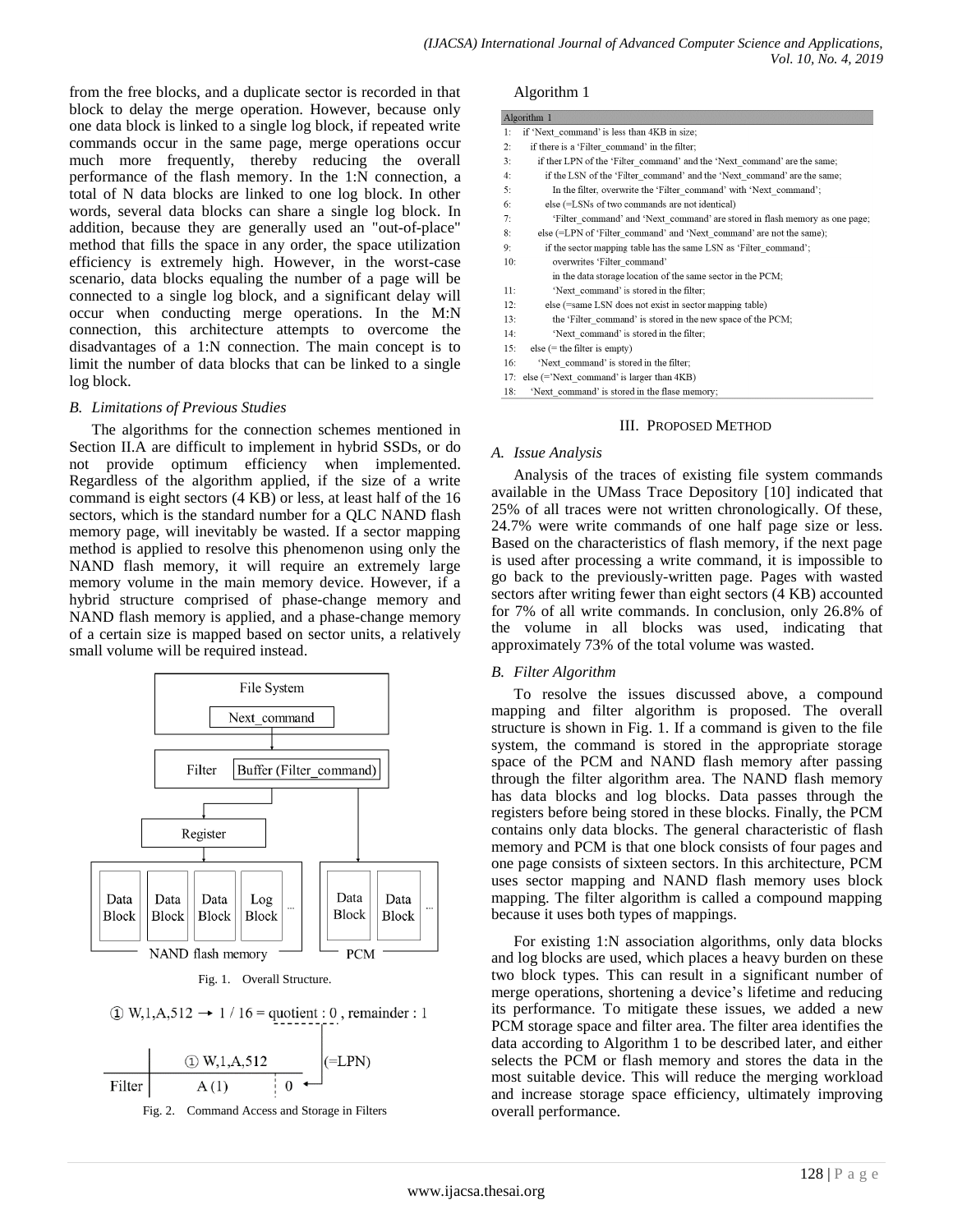from the free blocks, and a duplicate sector is recorded in that block to delay the merge operation. However, because only one data block is linked to a single log block, if repeated write commands occur in the same page, merge operations occur much more frequently, thereby reducing the overall performance of the flash memory. In the 1:N connection, a total of N data blocks are linked to one log block. In other words, several data blocks can share a single log block. In addition, because they are generally used an "out-of-place" method that fills the space in any order, the space utilization efficiency is extremely high. However, in the worst-case scenario, data blocks equaling the number of a page will be connected to a single log block, and a significant delay will occur when conducting merge operations. In the M:N connection, this architecture attempts to overcome the disadvantages of a 1:N connection. The main concept is to limit the number of data blocks that can be linked to a single log block.

## *B. Limitations of Previous Studies*

The algorithms for the connection schemes mentioned in Section II.A are difficult to implement in hybrid SSDs, or do not provide optimum efficiency when implemented. Regardless of the algorithm applied, if the size of a write command is eight sectors (4 KB) or less, at least half of the 16 sectors, which is the standard number for a QLC NAND flash memory page, will inevitably be wasted. If a sector mapping method is applied to resolve this phenomenon using only the NAND flash memory, it will require an extremely large memory volume in the main memory device. However, if a hybrid structure comprised of phase-change memory and NAND flash memory is applied, and a phase-change memory of a certain size is mapped based on sector units, a relatively small volume will be required instead.



Fig. 1. Overall Structure.

$$
\textcircled{1} W, 1, A, 512 \rightarrow 1 / 16 = \text{quotient} : 0, \text{ remainder} : 1
$$





#### Algorithm 1

| Algorithm 1 |                                                                             |  |  |  |
|-------------|-----------------------------------------------------------------------------|--|--|--|
| 1:          | if 'Next command' is less than 4KB in size;                                 |  |  |  |
| 2:          | if there is a 'Filter command' in the filter;                               |  |  |  |
| 3:          | if ther LPN of the 'Filter command' and the 'Next command' are the same;    |  |  |  |
| 4:          | if the LSN of the 'Filter command' and the 'Next command' are the same;     |  |  |  |
| 5:          | In the filter, overwrite the 'Filter command' with 'Next command';          |  |  |  |
| 6:          | else (=LSNs of two commands are not identical)                              |  |  |  |
| 7:          | 'Filter command' and 'Next command' are stored in flash memory as one page; |  |  |  |
| 8:          | else (=LPN of 'Filter command' and 'Next command' are not the same);        |  |  |  |
| 9:          | if the sector mapping table has the same LSN as 'Filter command';           |  |  |  |
| 10:         | overwrites 'Filter command'                                                 |  |  |  |
|             | in the data storage location of the same sector in the PCM;                 |  |  |  |
| 11:         | 'Next command' is stored in the filter;                                     |  |  |  |
| 12:         | else (=same LSN does not exist in sector mapping table)                     |  |  |  |
| 13:         | the 'Filter command' is stored in the new space of the PCM;                 |  |  |  |
| 14:         | 'Next command' is stored in the filter;                                     |  |  |  |
| 15:         | $else (= the filter is empty)$                                              |  |  |  |
| 16:         | 'Next command' is stored in the filter;                                     |  |  |  |
| 17:         | $else (='Next command' is larger than 4KB)$                                 |  |  |  |
| 18:         | 'Next command' is stored in the flase memory;                               |  |  |  |

#### III. PROPOSED METHOD

#### *A. Issue Analysis*

Analysis of the traces of existing file system commands available in the UMass Trace Depository [10] indicated that 25% of all traces were not written chronologically. Of these, 24.7% were write commands of one half page size or less. Based on the characteristics of flash memory, if the next page is used after processing a write command, it is impossible to go back to the previously-written page. Pages with wasted sectors after writing fewer than eight sectors (4 KB) accounted for 7% of all write commands. In conclusion, only 26.8% of the volume in all blocks was used, indicating that approximately 73% of the total volume was wasted.

## *B. Filter Algorithm*

To resolve the issues discussed above, a compound mapping and filter algorithm is proposed. The overall structure is shown in Fig. 1. If a command is given to the file system, the command is stored in the appropriate storage space of the PCM and NAND flash memory after passing through the filter algorithm area. The NAND flash memory has data blocks and log blocks. Data passes through the registers before being stored in these blocks. Finally, the PCM contains only data blocks. The general characteristic of flash memory and PCM is that one block consists of four pages and one page consists of sixteen sectors. In this architecture, PCM uses sector mapping and NAND flash memory uses block mapping. The filter algorithm is called a compound mapping because it uses both types of mappings.

For existing 1:N association algorithms, only data blocks and log blocks are used, which places a heavy burden on these two block types. This can result in a significant number of merge operations, shortening a device's lifetime and reducing its performance. To mitigate these issues, we added a new PCM storage space and filter area. The filter area identifies the data according to Algorithm 1 to be described later, and either selects the PCM or flash memory and stores the data in the most suitable device. This will reduce the merging workload and increase storage space efficiency, ultimately improving overall performance.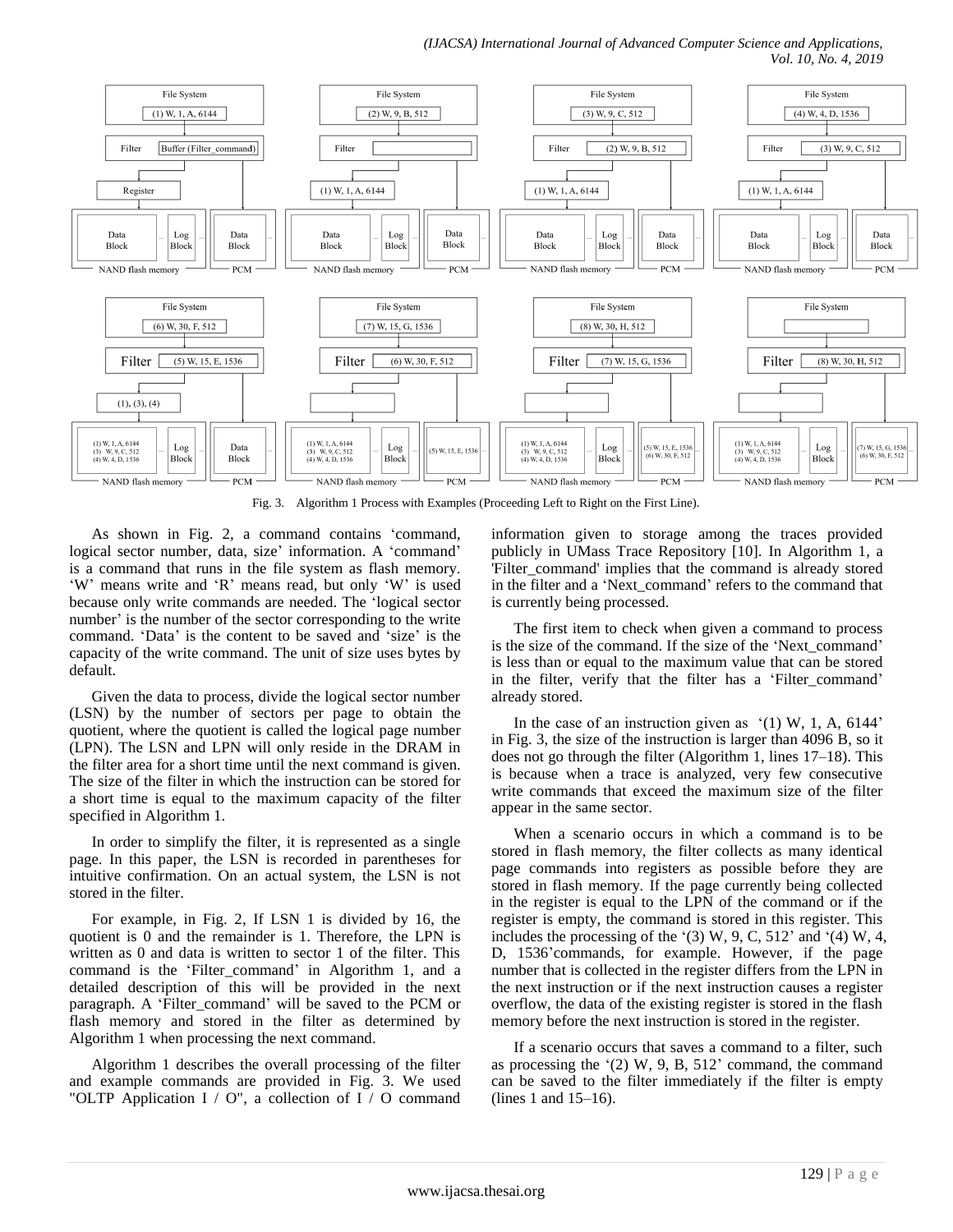*(IJACSA) International Journal of Advanced Computer Science and Applications, Vol. 10, No. 4, 2019*



Fig. 3. Algorithm 1 Process with Examples (Proceeding Left to Right on the First Line).

As shown in Fig. 2, a command contains "command, logical sector number, data, size' information. A 'command' is a command that runs in the file system as flash memory. 'W' means write and 'R' means read, but only 'W' is used because only write commands are needed. The "logical sector number' is the number of the sector corresponding to the write command. "Data" is the content to be saved and "size" is the capacity of the write command. The unit of size uses bytes by default.

Given the data to process, divide the logical sector number (LSN) by the number of sectors per page to obtain the quotient, where the quotient is called the logical page number (LPN). The LSN and LPN will only reside in the DRAM in the filter area for a short time until the next command is given. The size of the filter in which the instruction can be stored for a short time is equal to the maximum capacity of the filter specified in Algorithm 1.

In order to simplify the filter, it is represented as a single page. In this paper, the LSN is recorded in parentheses for intuitive confirmation. On an actual system, the LSN is not stored in the filter.

For example, in Fig. 2, If LSN 1 is divided by 16, the quotient is 0 and the remainder is 1. Therefore, the LPN is written as 0 and data is written to sector 1 of the filter. This command is the "Filter\_command" in Algorithm 1, and a detailed description of this will be provided in the next paragraph. A "Filter\_command" will be saved to the PCM or flash memory and stored in the filter as determined by Algorithm 1 when processing the next command.

Algorithm 1 describes the overall processing of the filter and example commands are provided in Fig. 3. We used "OLTP Application  $I / O$ ", a collection of  $I / O$  command

information given to storage among the traces provided publicly in UMass Trace Repository [10]. In Algorithm 1, a 'Filter\_command' implies that the command is already stored in the filter and a "Next\_command" refers to the command that is currently being processed.

The first item to check when given a command to process is the size of the command. If the size of the "Next\_command" is less than or equal to the maximum value that can be stored in the filter, verify that the filter has a 'Filter\_command' already stored.

In the case of an instruction given as  $(1)$  W, 1, A, 6144' in Fig. 3, the size of the instruction is larger than 4096 B, so it does not go through the filter (Algorithm 1, lines 17–18). This is because when a trace is analyzed, very few consecutive write commands that exceed the maximum size of the filter appear in the same sector.

When a scenario occurs in which a command is to be stored in flash memory, the filter collects as many identical page commands into registers as possible before they are stored in flash memory. If the page currently being collected in the register is equal to the LPN of the command or if the register is empty, the command is stored in this register. This includes the processing of the  $(3)$  W, 9, C, 512' and  $(4)$  W, 4, D, 1536"commands, for example. However, if the page number that is collected in the register differs from the LPN in the next instruction or if the next instruction causes a register overflow, the data of the existing register is stored in the flash memory before the next instruction is stored in the register.

If a scenario occurs that saves a command to a filter, such as processing the  $(2)$  W, 9, B, 512' command, the command can be saved to the filter immediately if the filter is empty (lines 1 and 15–16).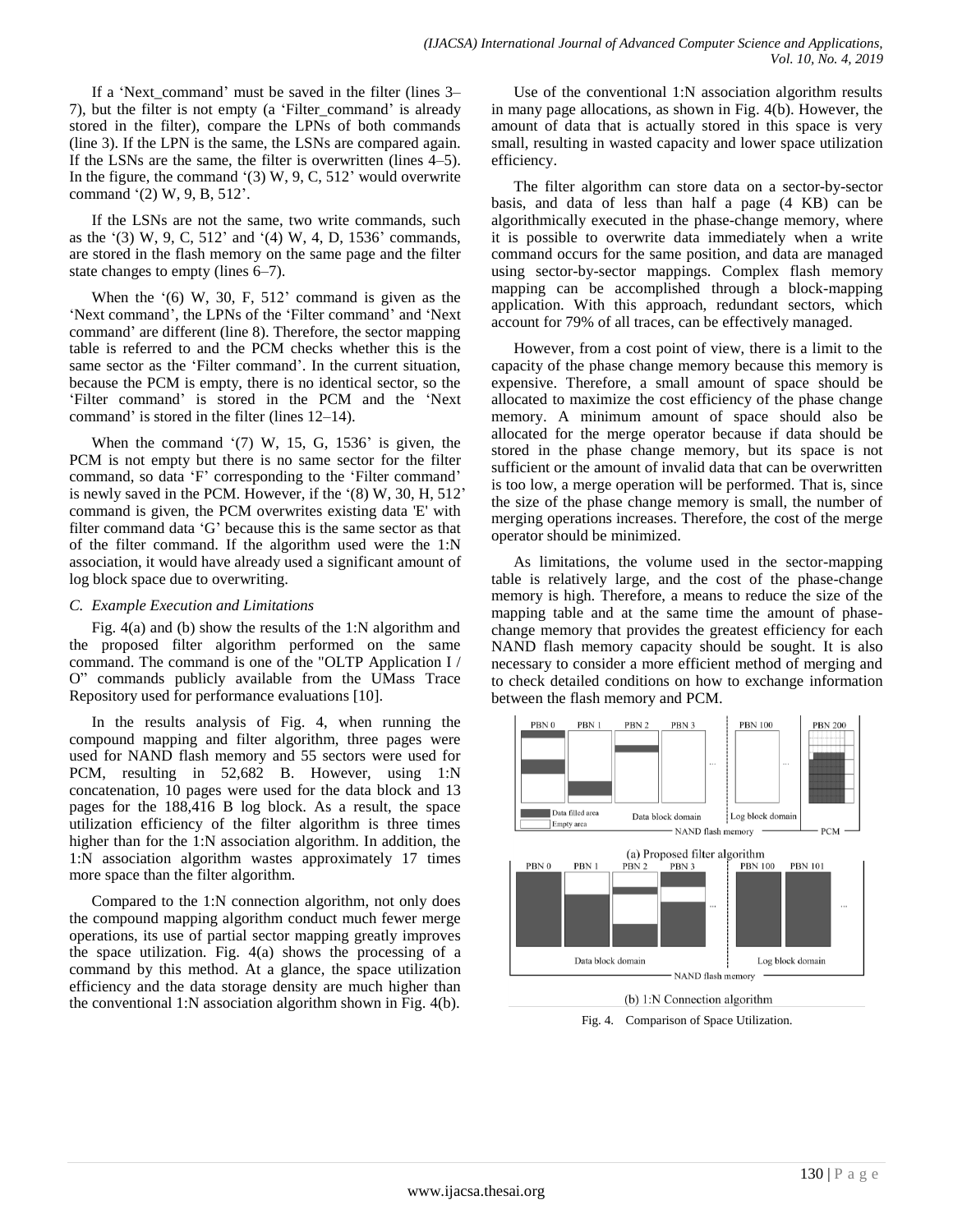If a "Next\_command" must be saved in the filter (lines 3– 7), but the filter is not empty (a "Filter\_command" is already stored in the filter), compare the LPNs of both commands (line 3). If the LPN is the same, the LSNs are compared again. If the LSNs are the same, the filter is overwritten (lines 4–5). In the figure, the command  $(3)$  W, 9, C, 512' would overwrite command '(2) W, 9, B, 512'.

If the LSNs are not the same, two write commands, such as the  $(3)$  W, 9, C, 512' and  $(4)$  W, 4, D, 1536' commands, are stored in the flash memory on the same page and the filter state changes to empty (lines 6–7).

When the  $(6)$  W, 30, F, 512' command is given as the 'Next command', the LPNs of the 'Filter command' and 'Next command" are different (line 8). Therefore, the sector mapping table is referred to and the PCM checks whether this is the same sector as the 'Filter command'. In the current situation, because the PCM is empty, there is no identical sector, so the 'Filter command' is stored in the PCM and the 'Next command' is stored in the filter (lines 12–14).

When the command  $(7)$  W, 15, G, 1536' is given, the PCM is not empty but there is no same sector for the filter command, so data 'F' corresponding to the 'Filter command' is newly saved in the PCM. However, if the '(8) W, 30, H, 512' command is given, the PCM overwrites existing data 'E' with filter command data "G" because this is the same sector as that of the filter command. If the algorithm used were the 1:N association, it would have already used a significant amount of log block space due to overwriting.

## *C. Example Execution and Limitations*

Fig. 4(a) and (b) show the results of the 1:N algorithm and the proposed filter algorithm performed on the same command. The command is one of the "OLTP Application I / O" commands publicly available from the UMass Trace Repository used for performance evaluations [10].

In the results analysis of Fig. 4, when running the compound mapping and filter algorithm, three pages were used for NAND flash memory and 55 sectors were used for PCM, resulting in 52,682 B. However, using 1:N concatenation, 10 pages were used for the data block and 13 pages for the 188,416 B log block. As a result, the space utilization efficiency of the filter algorithm is three times higher than for the 1:N association algorithm. In addition, the 1:N association algorithm wastes approximately 17 times more space than the filter algorithm.

Compared to the 1:N connection algorithm, not only does the compound mapping algorithm conduct much fewer merge operations, its use of partial sector mapping greatly improves the space utilization. Fig. 4(a) shows the processing of a command by this method. At a glance, the space utilization efficiency and the data storage density are much higher than the conventional 1:N association algorithm shown in Fig. 4(b).

Use of the conventional 1:N association algorithm results in many page allocations, as shown in Fig. 4(b). However, the amount of data that is actually stored in this space is very small, resulting in wasted capacity and lower space utilization efficiency.

The filter algorithm can store data on a sector-by-sector basis, and data of less than half a page (4 KB) can be algorithmically executed in the phase-change memory, where it is possible to overwrite data immediately when a write command occurs for the same position, and data are managed using sector-by-sector mappings. Complex flash memory mapping can be accomplished through a block-mapping application. With this approach, redundant sectors, which account for 79% of all traces, can be effectively managed.

However, from a cost point of view, there is a limit to the capacity of the phase change memory because this memory is expensive. Therefore, a small amount of space should be allocated to maximize the cost efficiency of the phase change memory. A minimum amount of space should also be allocated for the merge operator because if data should be stored in the phase change memory, but its space is not sufficient or the amount of invalid data that can be overwritten is too low, a merge operation will be performed. That is, since the size of the phase change memory is small, the number of merging operations increases. Therefore, the cost of the merge operator should be minimized.

As limitations, the volume used in the sector-mapping table is relatively large, and the cost of the phase-change memory is high. Therefore, a means to reduce the size of the mapping table and at the same time the amount of phasechange memory that provides the greatest efficiency for each NAND flash memory capacity should be sought. It is also necessary to consider a more efficient method of merging and to check detailed conditions on how to exchange information between the flash memory and PCM.



Fig. 4. Comparison of Space Utilization.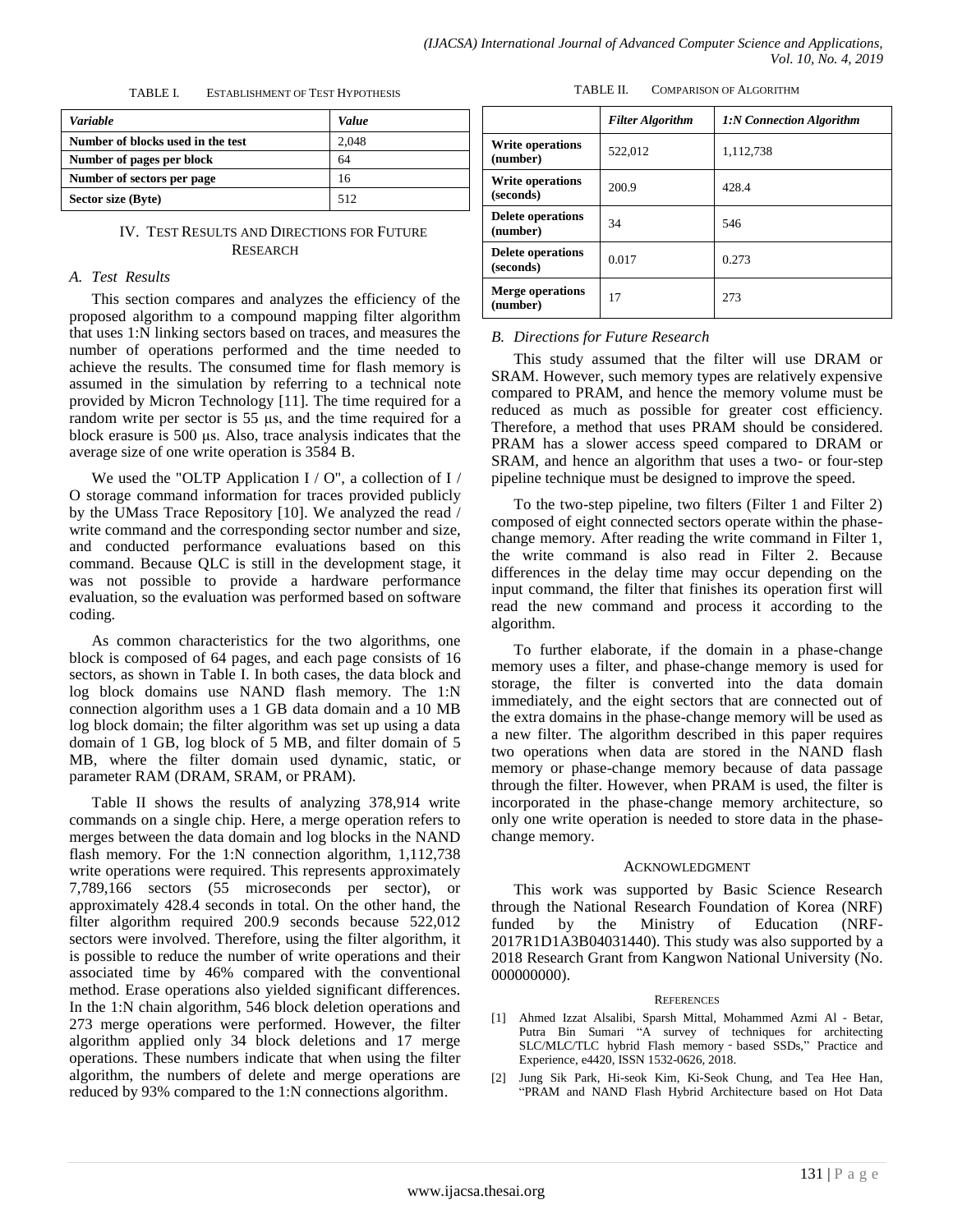| <b>Variable</b>                   | Value |
|-----------------------------------|-------|
| Number of blocks used in the test | 2,048 |
| Number of pages per block         | 64    |
| Number of sectors per page        | 16    |
| Sector size (Byte)                | 512   |

TABLE I. ESTABLISHMENT OF TEST HYPOTHESIS

# IV. TEST RESULTS AND DIRECTIONS FOR FUTURE RESEARCH

# *A. Test Results*

This section compares and analyzes the efficiency of the proposed algorithm to a compound mapping filter algorithm that uses 1:N linking sectors based on traces, and measures the number of operations performed and the time needed to achieve the results. The consumed time for flash memory is assumed in the simulation by referring to a technical note provided by Micron Technology [11]. The time required for a random write per sector is 55 μs, and the time required for a block erasure is 500 μs. Also, trace analysis indicates that the average size of one write operation is 3584 B.

We used the "OLTP Application  $I / O$ ", a collection of  $I /$ O storage command information for traces provided publicly by the UMass Trace Repository [10]. We analyzed the read / write command and the corresponding sector number and size, and conducted performance evaluations based on this command. Because QLC is still in the development stage, it was not possible to provide a hardware performance evaluation, so the evaluation was performed based on software coding.

As common characteristics for the two algorithms, one block is composed of 64 pages, and each page consists of 16 sectors, as shown in Table I. In both cases, the data block and log block domains use NAND flash memory. The 1:N connection algorithm uses a 1 GB data domain and a 10 MB log block domain; the filter algorithm was set up using a data domain of 1 GB, log block of 5 MB, and filter domain of 5 MB, where the filter domain used dynamic, static, or parameter RAM (DRAM, SRAM, or PRAM).

Table II shows the results of analyzing 378,914 write commands on a single chip. Here, a merge operation refers to merges between the data domain and log blocks in the NAND flash memory. For the 1:N connection algorithm, 1,112,738 write operations were required. This represents approximately 7,789,166 sectors (55 microseconds per sector), or approximately 428.4 seconds in total. On the other hand, the filter algorithm required 200.9 seconds because 522,012 sectors were involved. Therefore, using the filter algorithm, it is possible to reduce the number of write operations and their associated time by 46% compared with the conventional method. Erase operations also yielded significant differences. In the 1:N chain algorithm, 546 block deletion operations and 273 merge operations were performed. However, the filter algorithm applied only 34 block deletions and 17 merge operations. These numbers indicate that when using the filter algorithm, the numbers of delete and merge operations are reduced by 93% compared to the 1:N connections algorithm.

| TABLE II. | <b>COMPARISON OF ALGORITHM</b> |
|-----------|--------------------------------|
|           |                                |

|                                       | <b>Filter Algorithm</b> | 1:N Connection Algorithm |
|---------------------------------------|-------------------------|--------------------------|
| Write operations<br>(number)          | 522,012                 | 1,112,738                |
| Write operations<br>(seconds)         | 200.9                   | 4284                     |
| <b>Delete operations</b><br>(number)  | 34                      | 546                      |
| <b>Delete operations</b><br>(seconds) | 0.017                   | 0.273                    |
| <b>Merge operations</b><br>(number)   | 17                      | 273                      |

# *B. Directions for Future Research*

This study assumed that the filter will use DRAM or SRAM. However, such memory types are relatively expensive compared to PRAM, and hence the memory volume must be reduced as much as possible for greater cost efficiency. Therefore, a method that uses PRAM should be considered. PRAM has a slower access speed compared to DRAM or SRAM, and hence an algorithm that uses a two- or four-step pipeline technique must be designed to improve the speed.

To the two-step pipeline, two filters (Filter 1 and Filter 2) composed of eight connected sectors operate within the phasechange memory. After reading the write command in Filter 1, the write command is also read in Filter 2. Because differences in the delay time may occur depending on the input command, the filter that finishes its operation first will read the new command and process it according to the algorithm.

To further elaborate, if the domain in a phase-change memory uses a filter, and phase-change memory is used for storage, the filter is converted into the data domain immediately, and the eight sectors that are connected out of the extra domains in the phase-change memory will be used as a new filter. The algorithm described in this paper requires two operations when data are stored in the NAND flash memory or phase-change memory because of data passage through the filter. However, when PRAM is used, the filter is incorporated in the phase-change memory architecture, so only one write operation is needed to store data in the phasechange memory.

# ACKNOWLEDGMENT

This work was supported by Basic Science Research through the National Research Foundation of Korea (NRF) funded by the Ministry of Education (NRF-2017R1D1A3B04031440). This study was also supported by a 2018 Research Grant from Kangwon National University (No. 000000000).

## **REFERENCES**

- [1] Ahmed Izzat Alsalibi, Sparsh Mittal, Mohammed Azmi Al‐Betar, Putra Bin Sumari "A survey of techniques for architecting SLC/MLC/TLC hybrid Flash memory – based SSDs," Practice and Experience, e4420, ISSN 1532-0626, 2018.
- [2] Jung Sik Park, Hi-seok Kim, Ki-Seok Chung, and Tea Hee Han, "PRAM and NAND Flash Hybrid Architecture based on Hot Data